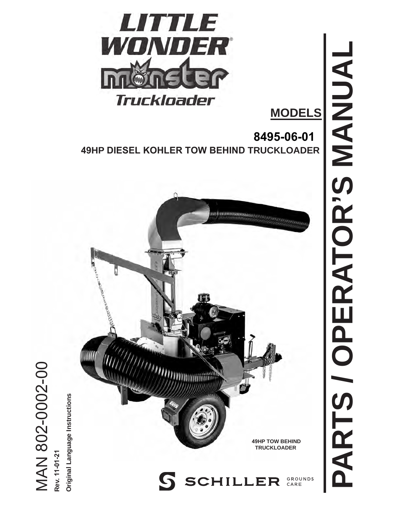

**MODELS** 

**8495-06-01 49HP DIESEL KOHLER TOW BEHIND TRUCKLOADER** 



**PARTS / OPERATOR'S MANUAL** PARTS / OPERATOR'S MANUAI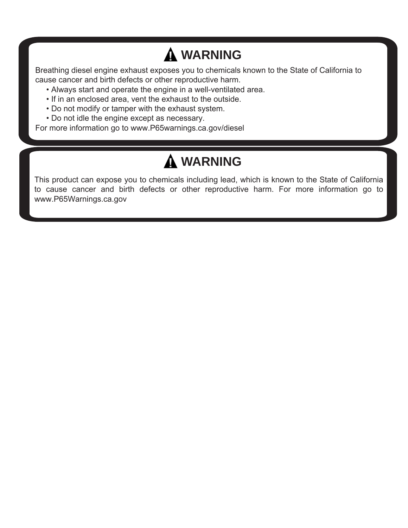## **WARNING**

Breathing diesel engine exhaust exposes you to chemicals known to the State of California to cause cancer and birth defects or other reproductive harm.

- Always start and operate the engine in a well-ventilated area.
- If in an enclosed area, vent the exhaust to the outside.
- Do not modify or tamper with the exhaust system.
- Do not idle the engine except as necessary.

For more information go to<www.P65warnings.ca.gov/diesel>

## **WARNING**

This product can expose you to chemicals including lead, which is known to the State of California to cause cancer and birth defects or other reproductive harm. For more information go to <www.P65Warnings.ca.gov>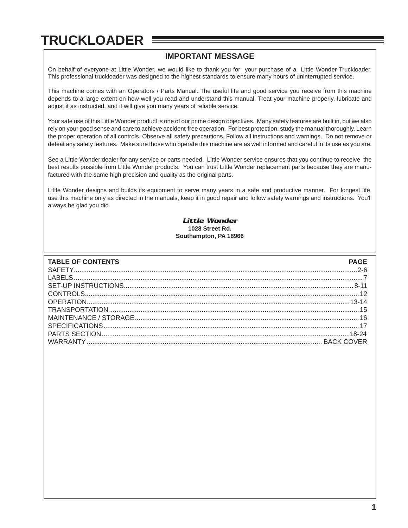### **IMPORTANT MESSAGE**

On behalf of everyone at Little Wonder, we would like to thank you for your purchase of a Little Wonder Truckloader. This professional truckloader was designed to the highest standards to ensure many hours of uninterrupted service.

This machine comes with an Operators / Parts Manual. The useful life and good service you receive from this machine depends to a large extent on how well you read and understand this manual. Treat your machine properly, lubricate and adjust it as instructed, and it will give you many years of reliable service.

Your safe use of this Little Wonder product is one of our prime design objectives. Many safety features are built in, but we also rely on your good sense and care to achieve accident-free operation. For best protection, study the manual thoroughly. Learn the proper operation of all controls. Observe all safety precautions. Follow all instructions and warnings. Do not remove or defeat any safety features. Make sure those who operate this machine are as well informed and careful in its use as you are.

See a Little Wonder dealer for any service or parts needed. Little Wonder service ensures that you continue to receive the best results possible from Little Wonder products. You can trust Little Wonder replacement parts because they are manufactured with the same high precision and quality as the original parts.

Little Wonder designs and builds its equipment to serve many years in a safe and productive manner. For longest life, use this machine only as directed in the manuals, keep it in good repair and follow safety warnings and instructions. You'll always be glad you did.

#### *Little Wonder*  **1028 Street Rd. Southampton, PA 18966**

| <b>TABLE OF CONTENTS</b> | <b>PAGE</b> |
|--------------------------|-------------|
|                          |             |
|                          |             |
|                          |             |
|                          |             |
|                          |             |
|                          |             |
|                          |             |
|                          |             |
|                          |             |
|                          |             |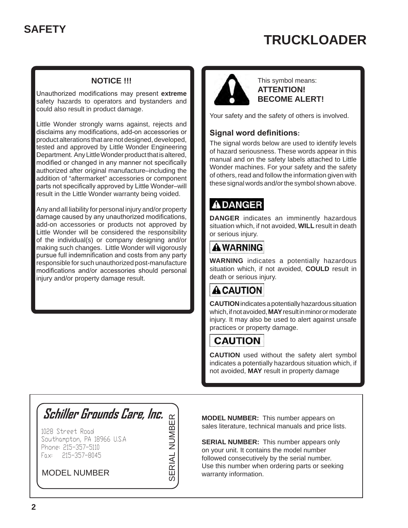#### **NOTICE !!!**

<span id="page-3-0"></span>Unauthorized modifications may present **extreme**  safety hazards to operators and bystanders and could also result in product damage.

Little Wonder strongly warns against, rejects and disclaims any modifications, add-on accessories or product alterations that are not designed, developed, tested and approved by Little Wonder Engineering Department. Any Little Wonder product that is altered, modified or changed in any manner not specifically authorized after original manufacture–including the addition of "aftermarket" accessories or component parts not specifically approved by Little Wonder–will result in the Little Wonder warranty being voided.

Any and all liability for personal injury and/or property damage caused by any unauthorized modifications, add-on accessories or products not approved by Little Wonder will be considered the responsibility of the individual(s) or company designing and/or making such changes. Little Wonder will vigorously pursue full indemnification and costs from any party responsible for such unauthorized post-manufacture modifications and/or accessories should personal injury and/or property damage result.



This symbol means: **ATTENTION! BECOME ALERT!** 

Your safety and the safety of others is involved.

#### **Signal word definitions:**

The signal words below are used to identify levels of hazard seriousness. These words appear in this manual and on the safety labels attached to Little Wonder machines. For your safety and the safety of others, read and follow the information given with these signal words and/or the symbol shown above.

### **ADANGER**

**DANGER** indicates an imminently hazardous situation which, if not avoided, **WILL** result in death or serious injury.

### **AWARNING**

**WARNING** indicates a potentially hazardous situation which, if not avoided, **COULD** result in death or serious injury.

### **ACAUTION**

**CAUTION** indicates a potentially hazardous situation which, ifnot avoided,**MAY**result in minor or moderate injury. It may also be used to alert against unsafe practices or property damage.

### **CAUTION**

**CAUTION** used without the safety alert symbol indicates a potentially hazardous situation which, if not avoided, **MAY** result in property damage

# **Schiller Grounds Care, Inc. SERIAL NUMBER**

SERIAL NUMBER

 Fax: 215-357-8045 1028 Street Road Southampton, PA 18966 U.S.A Phone: 215-357-5110

### MODEL NUMBER

 **MODEL NUMBER:** This number appears on sales literature, technical manuals and price lists.

**SERIAL NUMBER:** This number appears only on your unit. It contains the model number followed consecutively by the serial number. Use this number when ordering parts or seeking warranty information.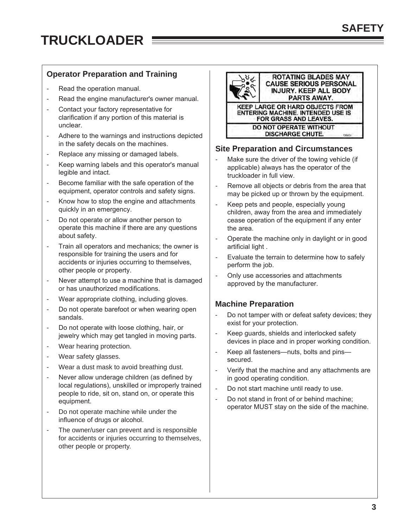#### **Operator Preparation and Training**

- Read the operation manual.
- Read the engine manufacturer's owner manual.
- Contact your factory representative for clarification if any portion of this material is unclear.
- Adhere to the warnings and instructions depicted in the safety decals on the machines.
- Replace any missing or damaged labels.
- Keep warning labels and this operator's manual legible and intact.
- Become familiar with the safe operation of the equipment, operator controls and safety signs.
- Know how to stop the engine and attachments quickly in an emergency.
- Do not operate or allow another person to operate this machine if there are any questions about safety.
- Train all operators and mechanics; the owner is responsible for training the users and for accidents or injuries occurring to themselves, other people or property.
- Never attempt to use a machine that is damaged or has unauthorized modifications.
- Wear appropriate clothing, including gloves.
- Do not operate barefoot or when wearing open sandals.
- Do not operate with loose clothing, hair, or jewelry which may get tangled in moving parts.
- Wear hearing protection.
- Wear safety glasses.
- Wear a dust mask to avoid breathing dust.
- Never allow underage children (as defined by local regulations), unskilled or improperly trained people to ride, sit on, stand on, or operate this equipment.
- Do not operate machine while under the influence of drugs or alcohol.
- The owner/user can prevent and is responsible for accidents or injuries occurring to themselves, other people or property.



#### **Site Preparation and Circumstances**

- Make sure the driver of the towing vehicle (if applicable) always has the operator of the truckloader in full view.
- Remove all objects or debris from the area that may be picked up or thrown by the equipment.
- Keep pets and people, especially young children, away from the area and immediately cease operation of the equipment if any enter the area.
- Operate the machine only in daylight or in good artificial light .
- Evaluate the terrain to determine how to safely perform the job.
- Only use accessories and attachments approved by the manufacturer.

#### **Machine Preparation**

- Do not tamper with or defeat safety devices; they exist for your protection.
- Keep guards, shields and interlocked safety devices in place and in proper working condition.
- Keep all fasteners—nuts, bolts and pins secured.
- Verify that the machine and any attachments are in good operating condition.
- Do not start machine until ready to use.
- Do not stand in front of or behind machine; operator MUST stay on the side of the machine.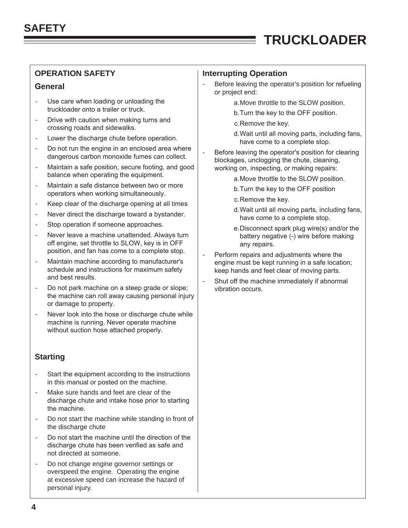- Use care when loading or unloading the truckloader onto a trailer or truck. - Use care when loading or unloading the state of the SLOW position.
- Drive with caution when making turns and <br>expressing reade and side unlies crossing roads and sidewalks.
- 
- Do not run the engine in an enclosed area where dangerous carbon monoxide fumes can collect. - Do not run the engine in an enclosed area where  $\vert$  - Before leaving the operator's position for clearing
- Maintain a safe position, secure footing, and good balance when operating the equipment. - Maintain a safe position, secure footing, and good | working on, inspecting, or making repairs:
- Maintain a safe distance between two or more b.Turn the key to the OFF position operators when working simultaneously.
- Keep clear of the discharge opening at all times
- Never direct the discharge toward a bystander.
- Stop operation if someone approaches.
- Never leave a machine unattended. Always turn battery negative (-) wire before making off engine, set throttle to SLOW, key is in OFF position, and fan has come to a complete stop.
- Maintain machine according to manufacturer's schedule and instructions for maximum safety and best results. - Maintain machine according to manufacturer's | engine must be kept running in a safe location;
- Do not park machine on a steep grade or slope; | vibration occurs. the machine can roll away causing personal injury or damage to property.
- Never look into the hose or discharge chute while machine is running. Never operate machine without suction hose attached properly. -

### **Starting**

- Start the equipment according to the instructions in this manual or posted on the machine.
- Make sure hands and feet are clear of the discharge chute and intake hose prior to starting the machine.
- Do not start the machine while standing in front of the discharge chute
- Do not start the machine until the direction of the discharge chute has been verified as safe and not directed at someone.
- Do not change engine governor settings or overspeed the engine. Operating the engine at excessive speed can increase the hazard of personal injury.

#### **OPERATION SAFETY Interrupting Operation**

 $\equiv$ 

- **General General Exercise 2** Before leaving the operator's position for refueling or project end:
	-
	- b.Turn the key to the OFF position.
	-
- Lower the discharge chute before operation. Here the discharge chute before operation.<br>- have come to a complete stop.
	- blockages, unclogging the chute, cleaning,
		- a.Move throttle to the SLOW position.
		-
		-
- Franch Contribution Control of the discharge opening at all times<br>
A Rever direct the discharge toward a bystander.<br>
Never direct the discharge toward a bystander.<br>
have come to a complete stop.
- Stop operation if someone approaches.<br>- Never leave a machine unattended. Always turn battery negative (-) wire before making any repairs.
	- Perform repairs and adjustments where the keep hands and feet clear of moving parts.
		- Shut off the machine immediately if abnormal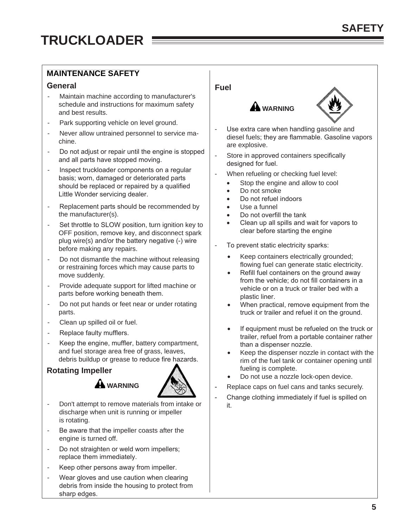### **MAINTENANCE SAFETY**

#### **General**

- Maintain machine according to manufacturer's schedule and instructions for maximum safety and best results.
- Park supporting vehicle on level ground.
- Never allow untrained personnel to service machine.
- Do not adjust or repair until the engine is stopped and all parts have stopped moving.
- Inspect truckloader components on a regular basis; worn, damaged or deteriorated parts should be replaced or repaired by a qualified Little Wonder servicing dealer.
- Replacement parts should be recommended by the manufacturer(s).
- Set throttle to SLOW position, turn ignition key to OFF position, remove key, and disconnect spark plug wire(s) and/or the battery negative (-) wire before making any repairs.
- Do not dismantle the machine without releasing or restraining forces which may cause parts to move suddenly.
- Provide adequate support for lifted machine or parts before working beneath them.
- Do not put hands or feet near or under rotating parts.
- Clean up spilled oil or fuel.
- Replace faulty mufflers.
- Keep the engine, muffler, battery compartment, and fuel storage area free of grass, leaves, debris buildup or grease to reduce fire hazards.

### **Rotating Impeller**



Don't attempt to remove materials from intake or discharge when unit is running or impeller is rotating. -

**WARNING** 

- Be aware that the impeller coasts after the engine is turned off. -
- Do not straighten or weld worn impellers; replace them immediately. -
- Keep other persons away from impeller. -
- Wear gloves and use caution when clearing debris from inside the housing to protect from sharp edges. -

### **Fuel**



- 
- Use extra care when handling gasoline and diesel fuels; they are flammable. Gasoline vapors are explosive.
- Store in approved containers specifically designed for fuel.
- When refueling or checking fuel level:
	- Stop the engine and allow to cool
	- Do not smoke
	- Do not refuel indoors
	- Use a funnel
	- Do not overfill the tank
	- Clean up all spills and wait for vapors to clear before starting the engine
- To prevent static electricity sparks:
	- Keep containers electrically grounded; flowing fuel can generate static electricity.
	- Refill fuel containers on the ground away from the vehicle; do not fill containers in a vehicle or on a truck or trailer bed with a plastic liner.
	- When practical, remove equipment from the truck or trailer and refuel it on the ground.
	- If equipment must be refueled on the truck or trailer, refuel from a portable container rather than a dispenser nozzle.
	- Keep the dispenser nozzle in contact with the rim of the fuel tank or container opening until fueling is complete.
	- Do not use a nozzle lock-open device.
- Replace caps on fuel cans and tanks securely.
- Change clothing immediately if fuel is spilled on it.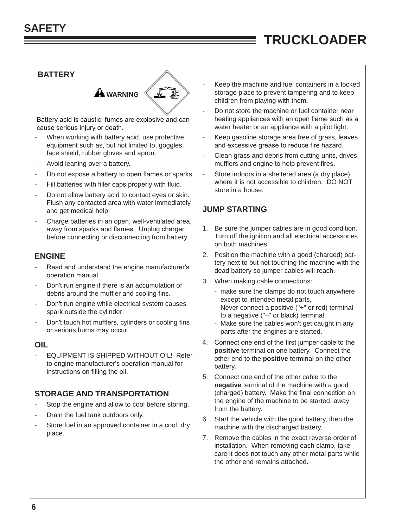### **BATTERY**



Battery acid is caustic, fumes are explosive and can cause serious injury or death.

- When working with battery acid, use protective equipment such as, but not limited to, goggles, face shield, rubber gloves and apron.
- Avoid leaning over a battery.
- Do not expose a battery to open flames or sparks.
- Fill batteries with filler caps properly with fluid.
- Do not allow battery acid to contact eyes or skin. Flush any contacted area with water immediately and get medical help.
- Charge batteries in an open, well-ventilated area, away from sparks and flames. Unplug charger before connecting or disconnecting from battery.

#### **ENGINE**

- Read and understand the engine manufacturer's operation manual.
- Don't run engine if there is an accumulation of debris around the muffler and cooling fins.
- Don't run engine while electrical system causes spark outside the cylinder.
- Don't touch hot mufflers, cylinders or cooling fins or serious burns may occur.

#### **OIL**

- EQUIPMENT IS SHIPPED WITHOUT OIL! Refer to engine manufacturer's operation manual for instructions on filling the oil.

#### **STORAGE AND TRANSPORTATION**

- Stop the engine and allow to cool before storing.
- Drain the fuel tank outdoors only.
- Store fuel in an approved container in a cool, dry place.

Keep the machine and fuel containers in a locked storage place to prevent tampering and to keep children from playing with them.

 $\equiv$ 

- Do not store the machine or fuel container near heating appliances with an open flame such as a water heater or an appliance with a pilot light.
- Keep gasoline storage area free of grass, leaves and excessive grease to reduce fire hazard.
- Clean grass and debris from cutting units, drives, mufflers and engine to help prevent fires.
- Store indoors in a sheltered area (a dry place) where it is not accessible to children. DO NOT store in a house.

#### **JUMP STARTING**

- 1. Be sure the jumper cables are in good condition. Turn off the ignition and all electrical accessories on both machines.
- 2. Position the machine with a good (charged) battery next to but not touching the machine with the dead battery so jumper cables will reach.
- 3. When making cable connections:
	- make sure the clamps do not touch anywhere except to intended metal parts,
	- Never connect a positive ("+" or red) terminal to a negative ("–" or black) terminal.
	- Make sure the cables won't get caught in any parts after the engines are started.
- 4. Connect one end of the first jumper cable to the **positive** terminal on one battery. Connect the other end to the **positive** terminal on the other battery.
- 5. Connect one end of the other cable to the **negative** terminal of the machine with a good (charged) battery. Make the final connection on the engine of the machine to be started, away from the battery.
- 6. Start the vehicle with the good battery, then the machine with the discharged battery.
- 7. Remove the cables in the exact reverse order of installation. When removing each clamp, take care it does not touch any other metal parts while the other end remains attached.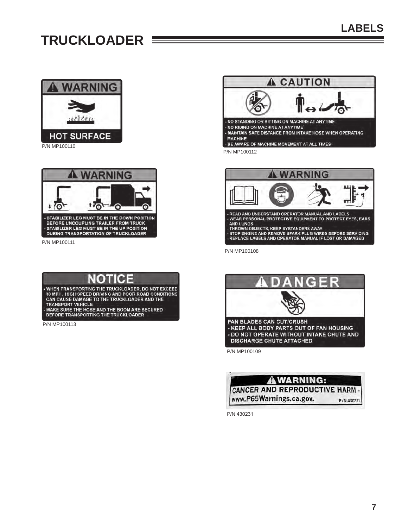<span id="page-8-0"></span>

P/N MP100110



P/N MP100111

### NOTICE

WHEN TRANSPORTING THE TRUCKLOADER, DO NOT EXCEED<br>30 MPH. HIGH SPEED DRIVING AND POOR ROAD CONDITIONS CAN CAUSE DAMAGE TO THE TRUCKLOADER AND THE **TRANSPORT VEHICLE** MAKE SURE THE HOSE AND THE BOOM ARE SECURED BEFORE TRANSPORTING THE TRUCKLOADER

P/N MP100113





P/N MP100108





P/N 430231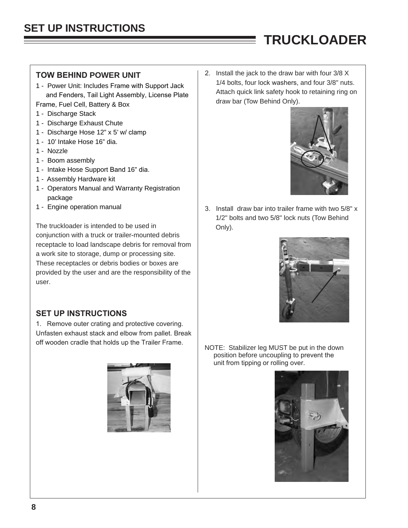- 1 Power Unit: Includes Frame with Support Jack<br>and Fenders, Tail Light Assembly, License Plate<br>Frame, Fuel Cell, Battery & Box<br>Frame, Fuel Cell, Battery & Box<br>and Fenders and Englishment Plate<br>of the Attach quick link sa
- 1 Discharge Stack
- 1 Discharge Exhaust Chute
- 1 Discharge Hose 12" x 5' w/ clamp
- 1 10' Intake Hose 16" dia.
- 1 Nozzle
- 1 Boom assembly
- 1 Intake Hose Support Band 16" dia.
- 1 Assembly Hardware kit
- 1 Operators Manual and Warranty Registration package
- 

The truckloader is intended to be used in  $\Box$  Only). conjunction with a truck or trailer-mounted debris receptacle to load landscape debris for removal from a work site to storage, dump or processing site. These receptacles or debris bodies or boxes are provided by the user and are the responsibility of the user.

#### **SET UP INSTRUCTIONS**

1. Remove outer crating and protective covering. Unfasten exhaust stack and elbow from pallet. Break off wooden cradle that holds up the Trailer Frame. NOTE: Stabilizer leg MUST be put in the down



<span id="page-9-0"></span>**TOW BEHIND POWER UNIT** 2. Install the jack to the draw bar with four 3/8 X<br>1. Power Unit: Includes Frame with Sunnert Joek 1/4 bolts, four lock washers, and four 3/8" nuts.

 $\equiv$ 



1 - Engine operation manual 1 - Engine operation manual 1 - S. Install draw bar into trailer frame with two 5/8" x 1/2" bolts and two 5/8" lock nuts (Tow Behind



position before uncoupling to prevent the unit from tipping or rolling over.

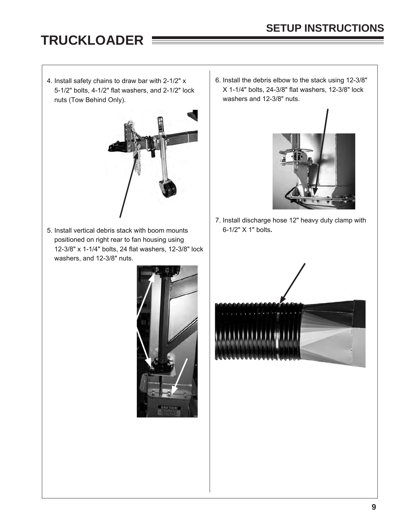5-1/2" bolts,  $4-1/2$ " flat washers, and  $2-1/2$ " lock nuts (Tow Behind Only). The same state of the washers and 12-3/8" nuts.



5. Install vertical debris stack with boom mounts 6-1/2" X 1" bolts**.** positioned on right rear to fan housing using 12-3/8" x 1-1/4" bolts, 24 flat washers, 12-3/8" lock washers, and 12-3/8" nuts.



4. Install safety chains to draw bar with 2-1/2" x  $\begin{array}{|l|l|} \hline 6. \text{ install the debris elbow to the stack using 12-3/8"} \hline 5-1/2" \text{ bolts, } 4-1/2" \text{ falls, } 4-1/2" \text{ bolts, } 12-3/8" \text{ lock} \hline \end{array}$ 



7. Install discharge hose 12" heavy duty clamp with

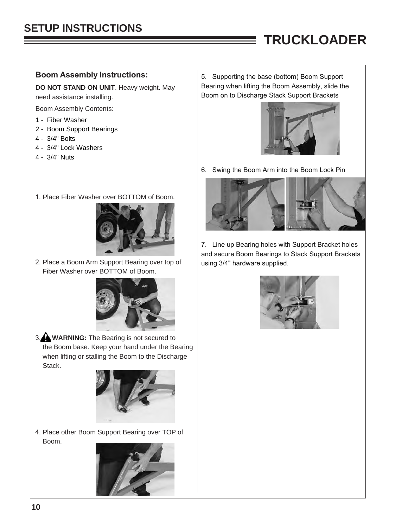#### **Boom Assembly Instructions:**

**DO NOT STAND ON UNIT**. Heavy weight. May need assistance installing.

- Boom Assembly Contents:
- 1 Fiber Washer
- 2 Boom Support Bearings
- 4 3/4" Bolts
- 4 3/4" Lock Washers
- 4 3/4" Nuts
- 1. Place Fiber Washer over BOTTOM of Boom.



2. Place a Boom Arm Support Bearing over top of Fiber Washer over BOTTOM of Boom.



3. **WARNING:** The Bearing is not secured to the Boom base. Keep your hand under the Bearing when lifting or stalling the Boom to the Discharge Stack.



4. Place other Boom Support Bearing over TOP of Boom.



5. Supporting the base (bottom) Boom Support Bearing when lifting the Boom Assembly, slide the Boom on to Discharge Stack Support Brackets

 $\sim$   $\sim$ 



6. Swing the Boom Arm into the Boom Lock Pin



7. Line up Bearing holes with Support Bracket holes and secure Boom Bearings to Stack Support Brackets using 3/4" hardware supplied.

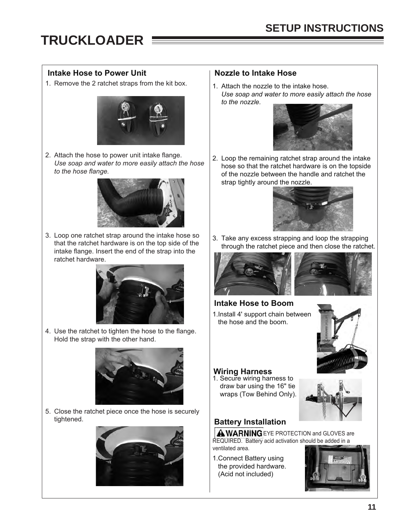### Intake Hose to Power Unit **Nozzle to Intake Hose**

1. Remove the 2 ratchet straps from the kit box.  $\vert$  1. Attach the nozzle to the intake hose.



2. Attach the hose to power unit intake flange. *Use soap and water to more easily attach the hose to the hose flange.*



3. Loop one ratchet strap around the intake hose so that the ratchet hardware is on the top side of the intake flange. Insert the end of the strap into the ratchet hardware.



4. Use the ratchet to tighten the hose to the flange. Hold the strap with the other hand.



5. Close the ratchet piece once the hose is securely tightened.



*Use soap and water to more easily attach the hose to the nozzle.* 



2. Loop the remaining ratchet strap around the intake hose so that the ratchet hardware is on the topside of the nozzle between the handle and ratchet the strap tightly around the nozzle.



3. Take any excess strapping and loop the strapping through the ratchet piece and then close the ratchet.





## **Intake Hose to Boom**

1.Install 4' support chain between the hose and the boom.



### **Wiring Harness**

1. Secure wiring harness to draw bar using the 16" tie wraps (Tow Behind Only).



### **Battery Installation**

**A WARNING** EYE PROTECTION and GLOVES are REQUIRED. Battery acid activation should be added in a ventilated area.

1.Connect Battery using the provided hardware. (Acid not included)

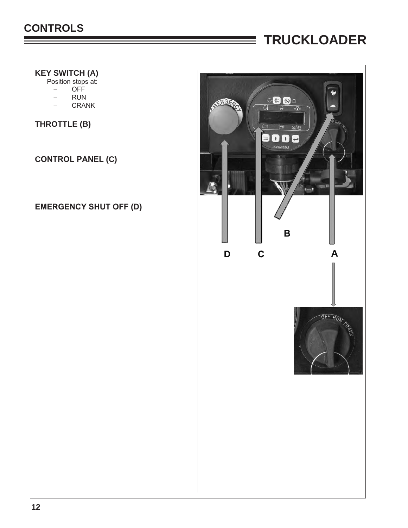### <span id="page-13-0"></span>**CONTROLS**

## **TRUCKLOADER**

### **KEY SWITCH (A)**

Position stops at:

- − OFF
- − RUN
- − CRANK

**THROTTLE (B)** 

**CONTROL PANEL (C)** 

### **EMERGENCY SHUT OFF (D)**

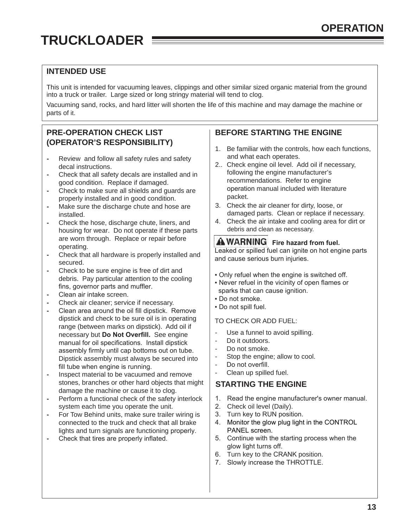#### <span id="page-14-0"></span>**INTENDED USE**

This unit is intended for vacuuming leaves, clippings and other similar sized organic material from the ground into a truck or trailer. Large sized or long stringy material will tend to clog.

Vacuuming sand, rocks, and hard litter will shorten the life of this machine and may damage the machine or parts of it.

#### **PRE-OPERATION CHECK LIST (OPERATOR'S RESPONSIBILITY)**

- **-** Review and follow all safety rules and safety decal instructions.
- **-** Check that all safety decals are installed and in good condition. Replace if damaged.
- **-** Check to make sure all shields and guards are properly installed and in good condition.
- **-** Make sure the discharge chute and hose are installed.
- **-** Check the hose, discharge chute, liners, and housing for wear. Do not operate if these parts are worn through. Replace or repair before operating.
- **-** Check that all hardware is properly installed and secured.
- **-** Check to be sure engine is free of dirt and debris. Pay particular attention to the cooling fins, governor parts and muffler.
- **-** Clean air intake screen.
- **-** Check air cleaner; service if necessary.
- **-** Clean area around the oil fill dipstick. Remove dipstick and check to be sure oil is in operating range (between marks on dipstick). Add oil if necessary but **Do Not Overfill.** See engine manual for oil specifications. Install dipstick assembly firmly until cap bottoms out on tube. Dipstick assembly must always be secured into fill tube when engine is running.
- **-** Inspect material to be vacuumed and remove stones, branches or other hard objects that might damage the machine or cause it to clog.
- **-** Perform a functional check of the safety interlock system each time you operate the unit.
- **-** For Tow Behind units, make sure trailer wiring is connected to the truck and check that all brake lights and turn signals are functioning properly.
- **-** Check that tires are properly inflated.

#### **BEFORE STARTING THE ENGINE**

- 1. Be familiar with the controls, how each functions, and what each operates.
- 2.. Check engine oil level. Add oil if necessary, following the engine manufacturer's recommendations. Refer to engine operation manual included with literature packet.
- 3. Check the air cleaner for dirty, loose, or damaged parts. Clean or replace if necessary.
- 4. Check the air intake and cooling area for dirt or debris and clean as necessary.

#### **AWARNING** Fire hazard from fuel.

Leaked or spilled fuel can ignite on hot engine parts and cause serious burn injuries.

- Only refuel when the engine is switched off.
- . Never refuel in the vicinity of open flames or sparks that can cause ignition.
- Do not smoke.
- Do not spill fuel.

#### TO CHECK OR ADD FUEL:

- Use a funnel to avoid spilling.<br>- Do it outdoors
- Do it outdoors.
- Do not smoke.
- Stop the engine; allow to cool.
- Do not overfill.
- Clean up spilled fuel.

#### **STARTING THE ENGINE**

- 1. Read the engine manufacturer's owner manual.
- 2. Check oil level (Daily).
- 3. Turn key to RUN position.
- 4. Monitor the glow plug light in the CONTROL PANEL screen.
- 5. Continue with the starting process when the glow light turns off.
- 6. Turn key to the CRANK position.
- 7. Slowly increase the THROTTLE.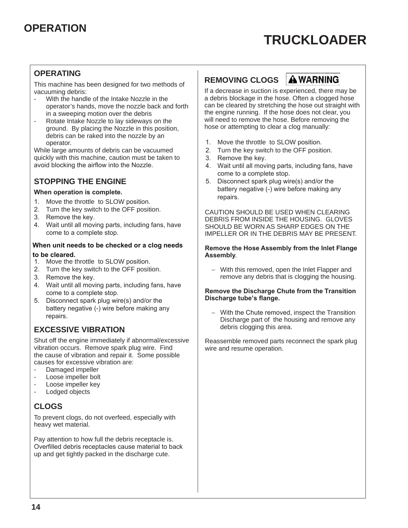#### **OPERATING**

This machine has been designed for two methods of **REMOVING CLOGS AWARNING**<br>Vacuuming debris: **The State of two methods of** If a decrease in suction is experienced, there m

- 
- Rotate Intake Nozzle to lay sideways on the will need to remove the hose. Before removing to clear a clog manually: ground. By placing the Nozzle in this position, debris can be raked into the nozzle by an<br>operator.

While large amounts of debris can be vacuumed  $\begin{array}{|l|l|} \hline 2. & \hline \end{array}$  Turn the key swit quickly with this machine, caution must be taken to  $\begin{array}{|l|l|} \hline \end{array}$  3. Remove the key. quickly with this machine, caution must be taken to  $\begin{array}{|l|l|} \hline 3. & \text{a}\end{array}$ 

- **battery is complete.** The better make the throttle to SLOW position.<br>
2. Turn the key switch to the OFF position.<br>
2. Turn the key switch to the OFF position.
- 
- 
- 

## When unit needs to be checked or a clog needs Remove the Hose Assembly from the Inlet Flange<br>to be cleared.

- 1. Move the throttle to SLOW position.<br>**2.** Turn the key switch to the OFF position.
- 
- 
- 
- 

### **EXCESSIVE VIBRATION**

Shut off the engine immediately if abnormal/excessive <br>vibration occurs. Remove spark plug wire. Find wire and resume operation. vibration occurs. Remove spark plug wire. Find the cause of vibration and repair it. Some possible causes for excessive vibration are:

- Damaged impeller
- Loose impeller bolt
- Loose impeller key<br>- Lodged objects
- Lodged objects

### **CLOGS**

To prevent clogs, do not overfeed, especially with heavy wet material.

Pay attention to how full the debris receptacle is. Overfilled debris receptacles cause material to back up and get tightly packed in the discharge cute.



vacuming debris:<br>If a decrease in suction is experienced, there may be<br>If a debris blockage in the hose. Often a clogged hose With the handle of the Intake Nozzle in the a debris blockage in the hose. Often a clogged hose<br>operator's hands, move the nozzle back and forth can be cleared by stretching the hose out straight wit operator's hands, move the nozzle back and forth can be cleared by stretching the hose out straight with<br>in a sweeping motion over the debris the engine running. If the hose does not clear, you<br>will need to remove the hose. Before removing the

- 
- 1. Move the throttle to SLOW position.<br>2. Turn the key switch to the OFF position.
- 
- 4. Wait until all moving parts, including fans, have come to a complete stop.
- **STOPPING THE ENGINE** 5. Disconnect spark plug wire(s) and/or the<br>
Mattery negative (-) wire before making any

2. Turn the key switch to the OFF position.<br>2. Remove the key. CAUTION SHOULD BE USED WHEN CLEARING CLOVES 3. Remove the key.<br>4. Wait until all moving parts, including fans, have  $\parallel$  DEBRIS FROM INSIDE THE HOUSING. GLOVES Wait until all moving parts, including fans, have SHOULD BE WORN AS SHARP EDGES ON THE<br>IMPELLER OR IN THE DEBRIS MAY BE PRESEN IMPELLER OR IN THE DEBRIS MAY BE PRESENT.

− With this removed, open the Inlet Flapper and 3. Remove the key. The contract of the key. The set of the remove any debris that is clogging the housing.

### Discharge tube's flange. 4. Wait until all moving parts, including fans, have<br>
come to a complete stop.<br>
5. Disconnect spark plug wire(s) and/or the **Discharge tube's flange.**<br> **Discharge tube's flange.**

battery negative (-) wire before making any  $\begin{array}{c} \n\text{FESIVE} \n\end{array}$  = With the Chute removed, inspect the Transition Discharge part of the housing and remove any debris clogging this area.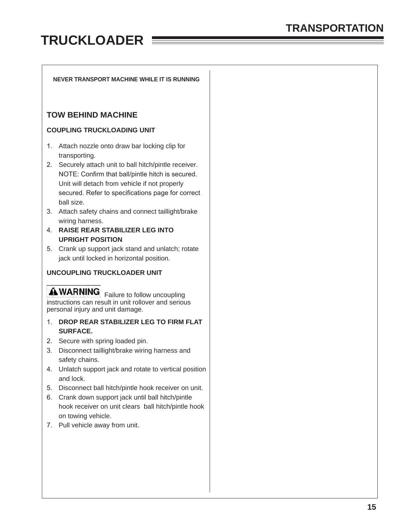#### <span id="page-16-0"></span>**NEVER TRANSPORT MACHINE WHILE IT IS RUNNING**

#### **TOW BEHIND MACHINE**

#### **COUPLING TRUCKLOADING UNIT**

- 1. Attach nozzle onto draw bar locking clip for transporting.
- 2. Securely attach unit to ball hitch/pintle receiver. NOTE: Confirm that ball/pintle hitch is secured. Unit will detach from vehicle if not properly secured. Refer to specifications page for correct ball size.
- 3. Attach safety chains and connect taillight/brake wiring harness.
- 4. **RAISE REAR STABILIZER LEG INTO UPRIGHT POSITION**
- 5. Crank up support jack stand and unlatch; rotate jack until locked in horizontal position.

#### **UNCOUPLING TRUCKLOADER UNIT**

**AWARNING** Failure to follow uncoupling instructions can result in unit rollover and serious personal injury and unit damage.

- 1. **DROP REAR STABILIZER LEG TO FIRM FLAT SURFACE.**
- 2. Secure with spring loaded pin.
- 3. Disconnect taillight/brake wiring harness and safety chains.
- 4. Unlatch support jack and rotate to vertical position and lock.
- 5. Disconnect ball hitch/pintle hook receiver on unit.
- 6. Crank down support jack until ball hitch/pintle hook receiver on unit clears ball hitch/pintle hook on towing vehicle.
- 7. Pull vehicle away from unit.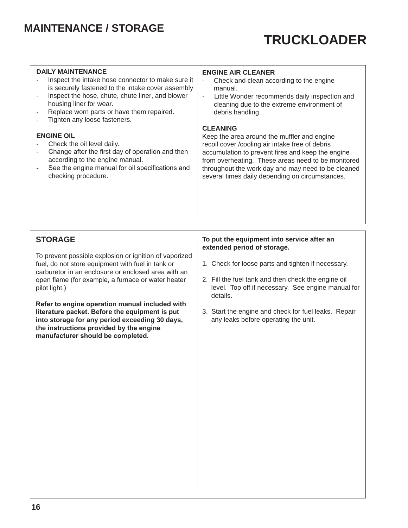### <span id="page-17-0"></span>**MAINTENANCE / STORAGE**

## **TRUCKLOADER**

- **DAILY MAINTENANCE**<br>- Inspect the intake hose connector to make sure it  $\vert$  Check and clean acc is securely fastened to the intake cover assembly  $\vert$  manual.<br>
Inspect the hose, chute, chute liner, and blower  $\vert$  - Little Wonder recommends daily inspection and
- Inspect the hose, chute, chute liner, and blower housing liner for wear.
- Replace worn parts or have them repaired.
- Tighten any loose fasteners.

- 
- 
- 

- Check and clean according to the engine
- cleaning due to the extreme environment of debris handling.

#### **CLEANING**

**ENGINE OIL**<br> **ENGINE OIL**<br> **ENGINE OIL**<br> **ENGINE OIL**<br> **ENGINE OIL**<br> **ENGINE OIL**<br> **ENGINE OIL**<br> **ENGINE OIL**<br> **ENGINE OIL**<br> **ENGINE OIL**<br> **ENGINE OIL**<br> **ENGINE OF A LIBER OF A LIBER OF A LIBER OF A LIBER OF A LIBER OF A** Check the oil level daily.<br>Change after the first day of operation and then eccumulation to prevent fires and keep the e Change after the first day of operation and then accumulation to prevent fires and keep the engine<br>according to the engine manual. according to the engine manual.<br>See the engine manual for oil specifications and throughout the work day and may need to be cleaned See the engine manual for oil specifications and throughout the work day and may need to be cleaned checking procedure. several times daily depending on circumstances.

#### **STORAGE**

To prevent possible explosion or ignition of vaporized fuel, do not store equipment with fuel in tank or  $1.$  Check for loose parts and tighten if necessary. carburetor in an enclosure or enclosed area with an pilot light.) open flame (for example, a furnace or water heater

**Refer to engine operation manual included with**  into storage for any period exceeding 30 days, **the instructions provided by the engine manufacturer should be completed.**

#### **To put the equipment into service after an extended period of storage.**

- 
- 2. Fill the fuel tank and then check the engine oil level. Top off if necessary. See engine manual for details.
- 3. Start the engine and check for fuel leaks. Repair any leaks before operating the unit.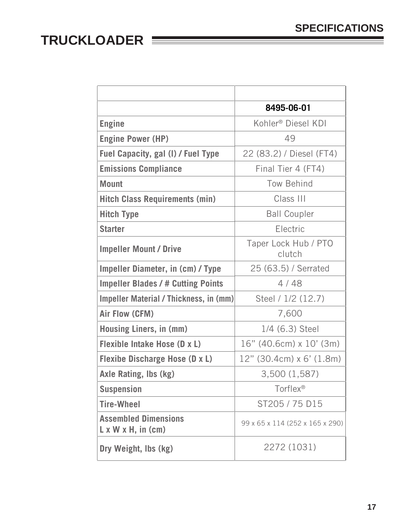<span id="page-18-0"></span>

|                                                                | 8495-06-01                      |
|----------------------------------------------------------------|---------------------------------|
| <b>Engine</b>                                                  | Kohler <sup>®</sup> Diesel KDI  |
| <b>Engine Power (HP)</b>                                       | 49                              |
| Fuel Capacity, gal (I) / Fuel Type                             | 22 (83.2) / Diesel (FT4)        |
| <b>Emissions Compliance</b>                                    | Final Tier 4 (FT4)              |
| <b>Mount</b>                                                   | Tow Behind                      |
| <b>Hitch Class Requirements (min)</b>                          | Class III                       |
| <b>Hitch Type</b>                                              | <b>Ball Coupler</b>             |
| <b>Starter</b>                                                 | Electric                        |
| <b>Impeller Mount / Drive</b>                                  | Taper Lock Hub / PTO<br>clutch  |
| <b>Impeller Diameter, in (cm) / Type</b>                       | 25 (63.5) / Serrated            |
| <b>Impeller Blades / # Cutting Points</b>                      | 4/48                            |
| Impeller Material / Thickness, in (mm)                         | Steel / 1/2 (12.7)              |
| <b>Air Flow (CFM)</b>                                          | 7,600                           |
| Housing Liners, in (mm)                                        | 1/4 (6.3) Steel                 |
| Flexible Intake Hose (D x L)                                   | $16"$ (40.6cm) x $10'$ (3m)     |
| <b>Flexibe Discharge Hose (D x L)</b>                          | $12"$ (30.4cm) x 6' (1.8m)      |
| <b>Axle Rating, Ibs (kg)</b>                                   | 3,500 (1,587)                   |
| <b>Suspension</b>                                              | Torflex®                        |
| <b>Tire-Wheel</b>                                              | ST205 / 75 D15                  |
| <b>Assembled Dimensions</b><br>$L \times W \times H$ , in (cm) | 99 x 65 x 114 (252 x 165 x 290) |
| Dry Weight, Ibs (kg)                                           | 2272 (1031)                     |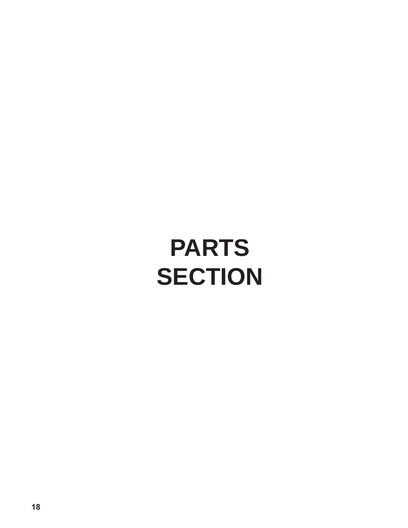# <span id="page-19-0"></span>**PARTS SECTION**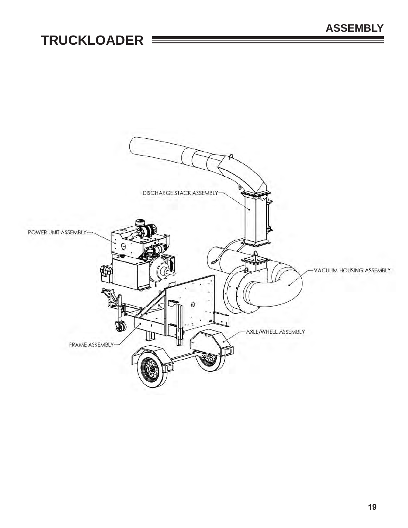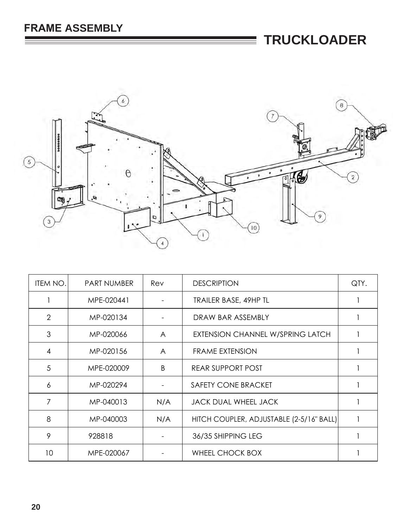E



| ITEM NO.       | <b>PART NUMBER</b> | Rev          | <b>DESCRIPTION</b>                       | QTY. |
|----------------|--------------------|--------------|------------------------------------------|------|
|                | MPE-020441         |              | <b>TRAILER BASE, 49HP TL</b>             |      |
| $\overline{2}$ | MP-020134          |              | DRAW BAR ASSEMBLY                        |      |
| 3              | MP-020066          | A            | EXTENSION CHANNEL W/SPRING LATCH         |      |
| $\overline{4}$ | MP-020156          | $\mathsf{A}$ | <b>FRAME EXTENSION</b>                   |      |
| 5              | MPE-020009         | B            | <b>REAR SUPPORT POST</b>                 |      |
| 6              | MP-020294          |              | SAFETY CONE BRACKET                      |      |
| $\overline{7}$ | MP-040013          | N/A          | <b>JACK DUAL WHEEL JACK</b>              |      |
| 8              | MP-040003          | N/A          | HITCH COUPLER, ADJUSTABLE (2-5/16" BALL) |      |
| 9              | 928818             |              | 36/35 SHIPPING LEG                       |      |
| 10             | MPE-020067         |              | WHEEL CHOCK BOX                          |      |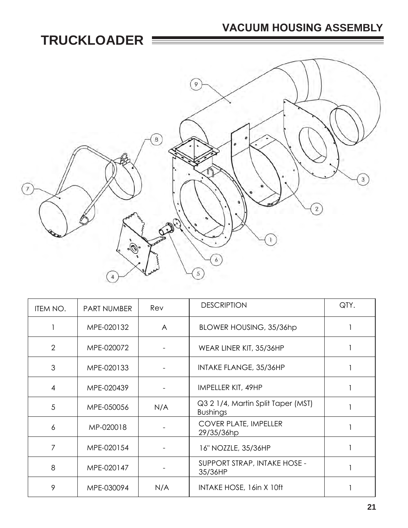### **VACUUM HOUSING ASSEMBLY**



| ITEM NO.       | <b>PART NUMBER</b> | Rev            | <b>DESCRIPTION</b>                                    | QTY. |
|----------------|--------------------|----------------|-------------------------------------------------------|------|
|                | MPE-020132         | $\overline{A}$ | BLOWER HOUSING, 35/36hp                               |      |
| $\overline{2}$ | MPE-020072         |                | WEAR LINER KIT, 35/36HP                               |      |
| 3              | MPE-020133         |                | <b>INTAKE FLANGE, 35/36HP</b>                         |      |
| 4              | MPE-020439         |                | IMPELLER KIT, 49HP                                    |      |
| 5              | MPE-050056         | N/A            | Q3 2 1/4, Martin Split Taper (MST)<br><b>Bushings</b> |      |
| 6              | MP-020018          |                | <b>COVER PLATE, IMPELLER</b><br>29/35/36hp            |      |
| $\overline{7}$ | MPE-020154         |                | 16" NOZZLE, 35/36HP                                   |      |
| 8              | MPE-020147         |                | SUPPORT STRAP, INTAKE HOSE -<br>35/36HP               |      |
| 9              | MPE-030094         | N/A            | INTAKE HOSE, 16in X 10ft                              |      |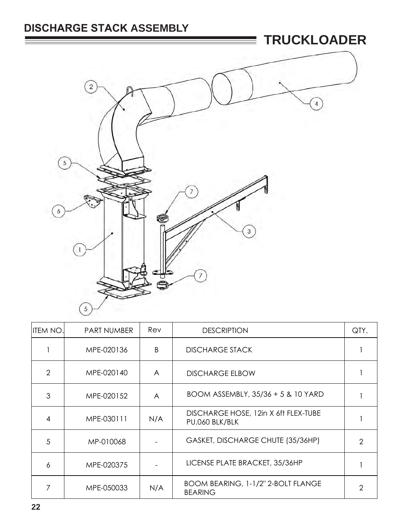### **DISCHARGE STACK ASSEMBLY**



| <b>ITEM NO.</b> | <b>PART NUMBER</b> | Rev            | <b>DESCRIPTION</b>                                     | QTY. |
|-----------------|--------------------|----------------|--------------------------------------------------------|------|
|                 | MPE-020136         | B              | <b>DISCHARGE STACK</b>                                 |      |
| $\mathcal{D}$   | MPE-020140         | A              | <b>DISCHARGE ELBOW</b>                                 |      |
| 3               | MPE-020152         | $\overline{A}$ | BOOM ASSEMBLY, 35/36 + 5 & 10 YARD                     |      |
|                 | MPE-030111         | N/A            | DISCHARGE HOSE, 12in X 6ft FLEX-TUBE<br>PU.060 BLK/BLK |      |
| 5               | MP-010068          |                | GASKET, DISCHARGE CHUTE (35/36HP)                      | 2    |
| 6               | MPE-020375         |                | LICENSE PLATE BRACKET, 35/36HP                         |      |
|                 | MPE-050033         | N/A            | BOOM BEARING, 1-1/2" 2-BOLT FLANGE<br><b>BEARING</b>   | 2    |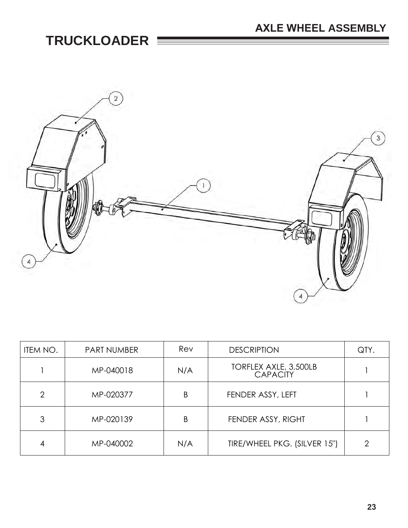

| ITEM NO.       | <b>PART NUMBER</b> | Rev | <b>DESCRIPTION</b>                       | QTY.           |
|----------------|--------------------|-----|------------------------------------------|----------------|
|                | MP-040018          | N/A | TORFLEX AXLE, 3,500LB<br><b>CAPACITY</b> |                |
| $\overline{2}$ | MP-020377          | B   | FENDER ASSY, LEFT                        |                |
| 3              | MP-020139          | Β   | FENDER ASSY, RIGHT                       |                |
| 4              | MP-040002          | N/A | TIRE/WHEEL PKG. (SILVER 15")             | $\overline{2}$ |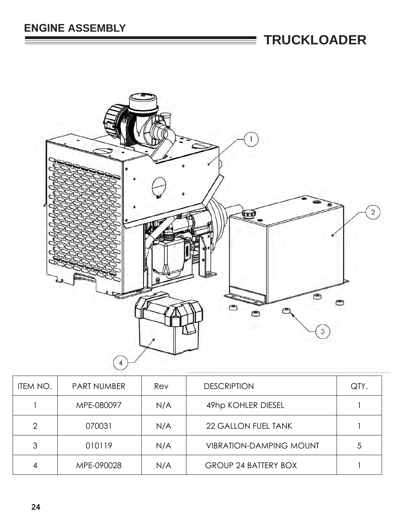

| ITEM NO.       | <b>PART NUMBER</b> | Rev | <b>DESCRIPTION</b>             | QTY. |
|----------------|--------------------|-----|--------------------------------|------|
|                | MPE-080097         | N/A | 49hp KOHLER DIESEL             |      |
| $\overline{2}$ | 070031             | N/A | <b>22 GALLON FUEL TANK</b>     |      |
| 3              | 010119             | N/A | <b>VIBRATION-DAMPING MOUNT</b> | 5    |
| 4              | MPE-090028         | N/A | <b>GROUP 24 BATTERY BOX</b>    |      |